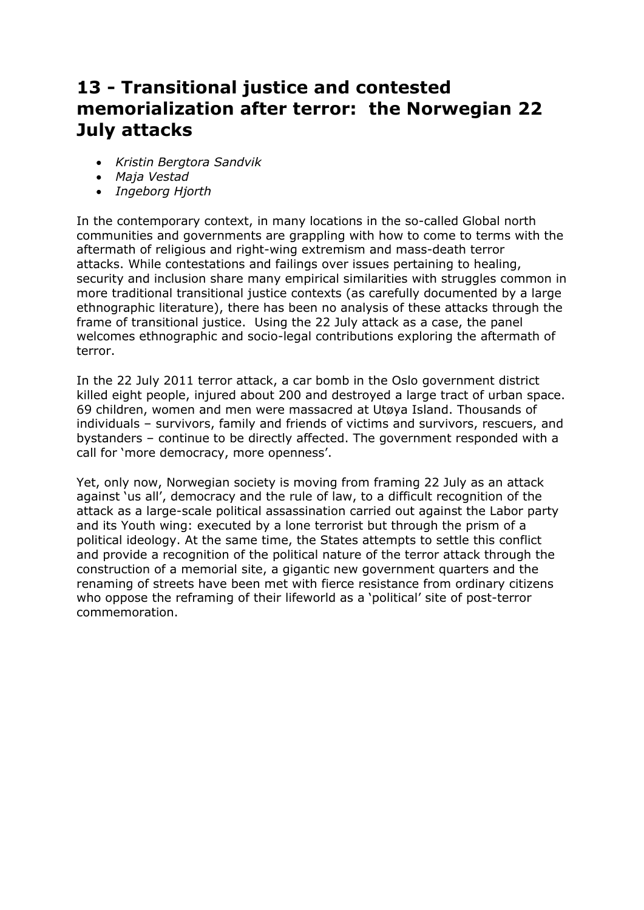# **13 - Transitional justice and contested memorialization after terror: the Norwegian 22 July attacks**

- *Kristin Bergtora Sandvik*
- *Maja Vestad*
- *Ingeborg Hjorth*

In the contemporary context, in many locations in the so-called Global north communities and governments are grappling with how to come to terms with the aftermath of religious and right-wing extremism and mass-death terror attacks. While contestations and failings over issues pertaining to healing, security and inclusion share many empirical similarities with struggles common in more traditional transitional justice contexts (as carefully documented by a large ethnographic literature), there has been no analysis of these attacks through the frame of transitional justice. Using the 22 July attack as a case, the panel welcomes ethnographic and socio-legal contributions exploring the aftermath of terror.

In the 22 July 2011 terror attack, a car bomb in the Oslo government district killed eight people, injured about 200 and destroyed a large tract of urban space. 69 children, women and men were massacred at Utøya Island. Thousands of individuals – survivors, family and friends of victims and survivors, rescuers, and bystanders – continue to be directly affected. The government responded with a call for 'more democracy, more openness'.

Yet, only now, Norwegian society is moving from framing 22 July as an attack against 'us all', democracy and the rule of law, to a difficult recognition of the attack as a large-scale political assassination carried out against the Labor party and its Youth wing: executed by a lone terrorist but through the prism of a political ideology. At the same time, the States attempts to settle this conflict and provide a recognition of the political nature of the terror attack through the construction of a memorial site, a gigantic new government quarters and the renaming of streets have been met with fierce resistance from ordinary citizens who oppose the reframing of their lifeworld as a 'political' site of post-terror commemoration.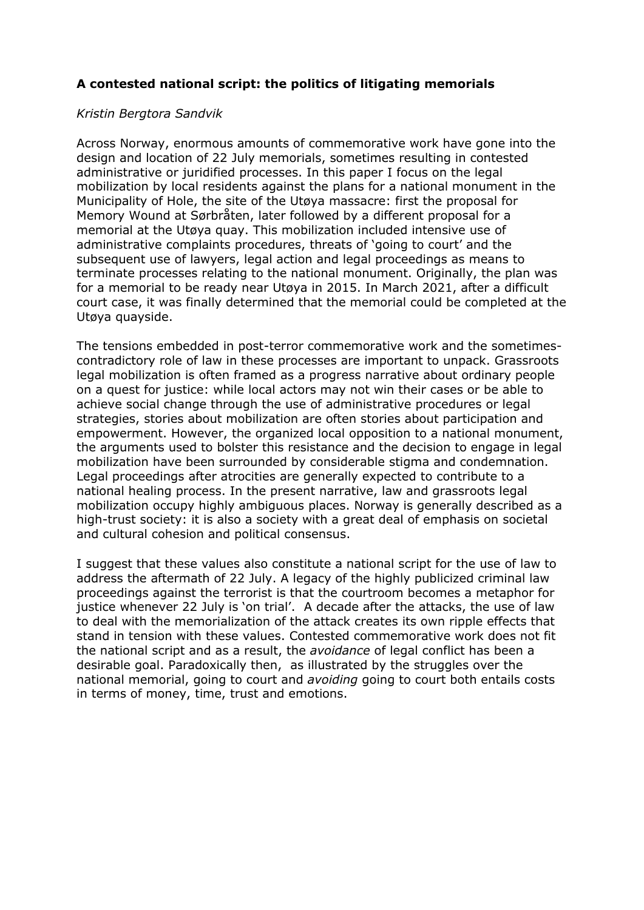# **A contested national script: the politics of litigating memorials**

## *Kristin Bergtora Sandvik*

Across Norway, enormous amounts of commemorative work have gone into the design and location of 22 July memorials, sometimes resulting in contested administrative or juridified processes. In this paper I focus on the legal mobilization by local residents against the plans for a national monument in the Municipality of Hole, the site of the Utøya massacre: first the proposal for Memory Wound at Sørbråten, later followed by a different proposal for a memorial at the Utøya quay. This mobilization included intensive use of administrative complaints procedures, threats of 'going to court' and the subsequent use of lawyers, legal action and legal proceedings as means to terminate processes relating to the national monument. Originally, the plan was for a memorial to be ready near Utøya in 2015. In March 2021, after a difficult court case, it was finally determined that the memorial could be completed at the Utøya quayside.

The tensions embedded in post-terror commemorative work and the sometimescontradictory role of law in these processes are important to unpack. Grassroots legal mobilization is often framed as a progress narrative about ordinary people on a quest for justice: while local actors may not win their cases or be able to achieve social change through the use of administrative procedures or legal strategies, stories about mobilization are often stories about participation and empowerment. However, the organized local opposition to a national monument, the arguments used to bolster this resistance and the decision to engage in legal mobilization have been surrounded by considerable stigma and condemnation. Legal proceedings after atrocities are generally expected to contribute to a national healing process. In the present narrative, law and grassroots legal mobilization occupy highly ambiguous places. Norway is generally described as a high-trust society: it is also a society with a great deal of emphasis on societal and cultural cohesion and political consensus.

I suggest that these values also constitute a national script for the use of law to address the aftermath of 22 July. A legacy of the highly publicized criminal law proceedings against the terrorist is that the courtroom becomes a metaphor for justice whenever 22 July is 'on trial'. A decade after the attacks, the use of law to deal with the memorialization of the attack creates its own ripple effects that stand in tension with these values. Contested commemorative work does not fit the national script and as a result, the *avoidance* of legal conflict has been a desirable goal. Paradoxically then, as illustrated by the struggles over the national memorial, going to court and *avoiding* going to court both entails costs in terms of money, time, trust and emotions.